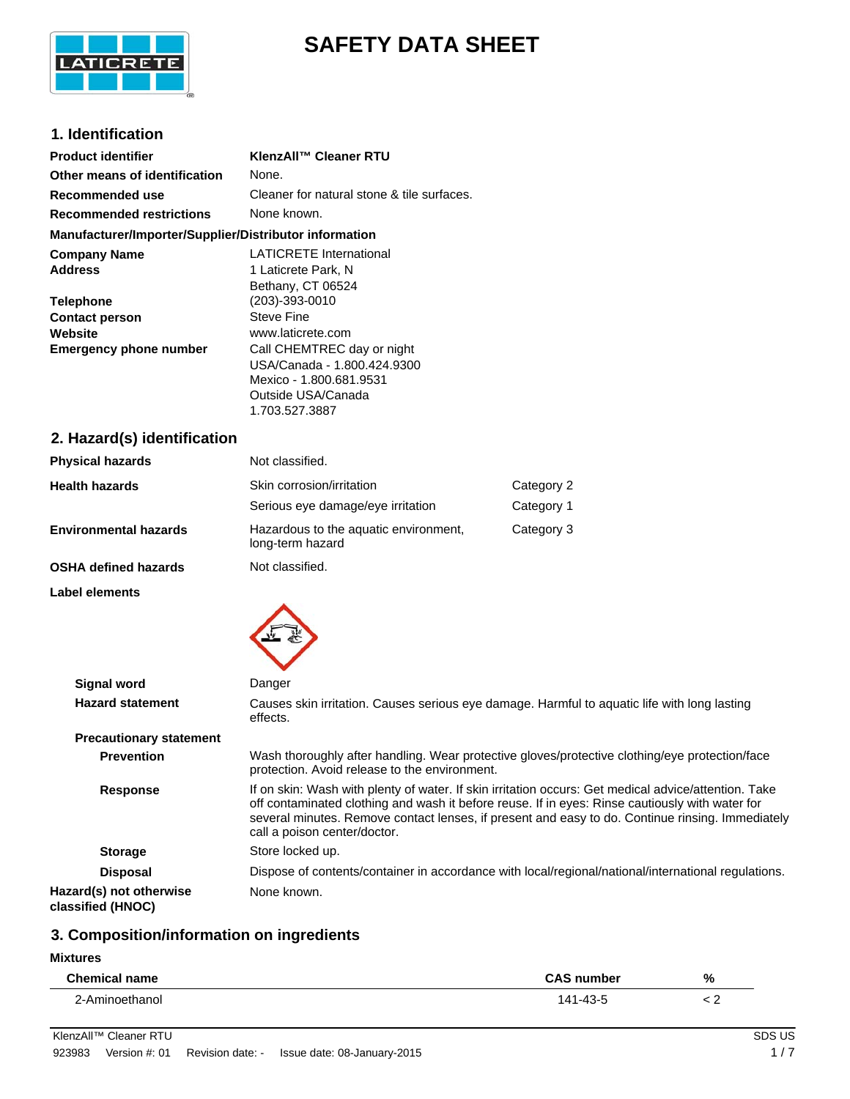

# **SAFETY DATA SHEET**

### **1. Identification**

| <b>Product identifier</b>                              | KlenzAll™ Cleaner RTU                      |
|--------------------------------------------------------|--------------------------------------------|
| Other means of identification                          | None.                                      |
| Recommended use                                        | Cleaner for natural stone & tile surfaces. |
| <b>Recommended restrictions</b>                        | None known.                                |
| Manufacturer/Importer/Supplier/Distributor information |                                            |
| <b>Company Name</b>                                    | <b>LATICRETE International</b>             |
| <b>Address</b>                                         | 1 Laticrete Park, N                        |
|                                                        | Bethany, CT 06524                          |
| <b>Telephone</b>                                       | $(203) - 393 - 0010$                       |
| <b>Contact person</b>                                  | <b>Steve Fine</b>                          |
| Website                                                | www.laticrete.com                          |
| <b>Emergency phone number</b>                          | Call CHEMTREC day or night                 |
|                                                        | USA/Canada - 1.800.424.9300                |
|                                                        | Mexico - 1.800.681.9531                    |
|                                                        | Outside USA/Canada                         |
|                                                        | 1.703.527.3887                             |
| 2 Hazard(s) identification                             |                                            |

### **2. Hazard(s) identification**

| <b>Physical hazards</b>      | Not classified.                                           |            |
|------------------------------|-----------------------------------------------------------|------------|
| <b>Health hazards</b>        | Skin corrosion/irritation                                 | Category 2 |
|                              | Serious eye damage/eye irritation                         | Category 1 |
| <b>Environmental hazards</b> | Hazardous to the aquatic environment,<br>long-term hazard | Category 3 |
| <b>OSHA defined hazards</b>  | Not classified.                                           |            |

**Label elements**



| <b>Signal word</b>                           | Danger                                                                                                                                                                                                                                                                                                                                      |
|----------------------------------------------|---------------------------------------------------------------------------------------------------------------------------------------------------------------------------------------------------------------------------------------------------------------------------------------------------------------------------------------------|
| <b>Hazard statement</b>                      | Causes skin irritation. Causes serious eye damage. Harmful to aguatic life with long lasting<br>effects.                                                                                                                                                                                                                                    |
| <b>Precautionary statement</b>               |                                                                                                                                                                                                                                                                                                                                             |
| <b>Prevention</b>                            | Wash thoroughly after handling. Wear protective gloves/protective clothing/eye protection/face<br>protection. Avoid release to the environment.                                                                                                                                                                                             |
| <b>Response</b>                              | If on skin: Wash with plenty of water. If skin irritation occurs: Get medical advice/attention. Take<br>off contaminated clothing and wash it before reuse. If in eyes: Rinse cautiously with water for<br>several minutes. Remove contact lenses, if present and easy to do. Continue rinsing. Immediately<br>call a poison center/doctor. |
| <b>Storage</b>                               | Store locked up.                                                                                                                                                                                                                                                                                                                            |
| <b>Disposal</b>                              | Dispose of contents/container in accordance with local/regional/national/international regulations.                                                                                                                                                                                                                                         |
| Hazard(s) not otherwise<br>classified (HNOC) | None known.                                                                                                                                                                                                                                                                                                                                 |

### **3. Composition/information on ingredients**

#### **Mixtures**

| <b>Chemical name</b> | number                          |                          |
|----------------------|---------------------------------|--------------------------|
|                      |                                 | %                        |
| .                    | $\overline{a}$<br>$\sim$ $\sim$ | $\overline{\phantom{0}}$ |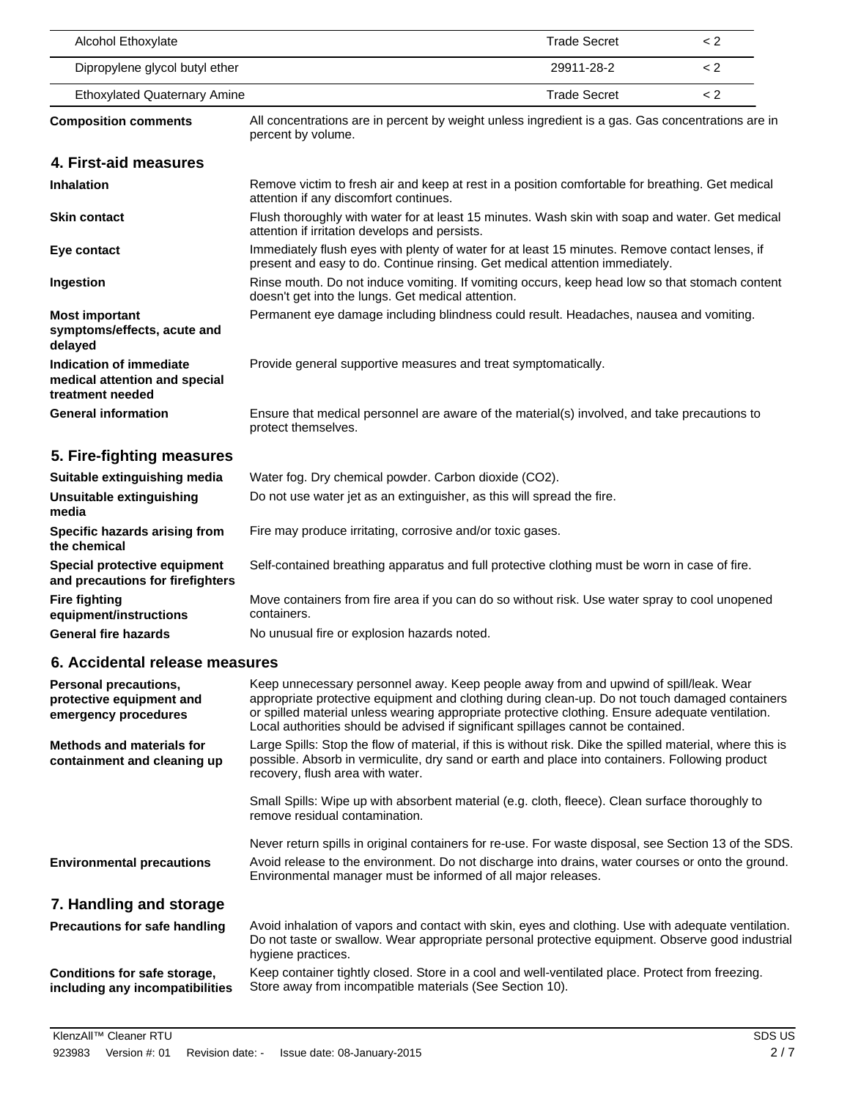| Alcohol Ethoxylate                                                           |                                                                                                                                                                                                                                                                                                                                                                                  | <b>Trade Secret</b> | < 2     |
|------------------------------------------------------------------------------|----------------------------------------------------------------------------------------------------------------------------------------------------------------------------------------------------------------------------------------------------------------------------------------------------------------------------------------------------------------------------------|---------------------|---------|
| Dipropylene glycol butyl ether                                               |                                                                                                                                                                                                                                                                                                                                                                                  | 29911-28-2          | < 2     |
| <b>Ethoxylated Quaternary Amine</b>                                          |                                                                                                                                                                                                                                                                                                                                                                                  | <b>Trade Secret</b> | $\lt 2$ |
| <b>Composition comments</b>                                                  | All concentrations are in percent by weight unless ingredient is a gas. Gas concentrations are in<br>percent by volume.                                                                                                                                                                                                                                                          |                     |         |
| 4. First-aid measures                                                        |                                                                                                                                                                                                                                                                                                                                                                                  |                     |         |
| <b>Inhalation</b>                                                            | Remove victim to fresh air and keep at rest in a position comfortable for breathing. Get medical<br>attention if any discomfort continues.                                                                                                                                                                                                                                       |                     |         |
| <b>Skin contact</b>                                                          | Flush thoroughly with water for at least 15 minutes. Wash skin with soap and water. Get medical<br>attention if irritation develops and persists.                                                                                                                                                                                                                                |                     |         |
| Eye contact                                                                  | Immediately flush eyes with plenty of water for at least 15 minutes. Remove contact lenses, if<br>present and easy to do. Continue rinsing. Get medical attention immediately.                                                                                                                                                                                                   |                     |         |
| Ingestion                                                                    | Rinse mouth. Do not induce vomiting. If vomiting occurs, keep head low so that stomach content<br>doesn't get into the lungs. Get medical attention.                                                                                                                                                                                                                             |                     |         |
| <b>Most important</b><br>symptoms/effects, acute and<br>delayed              | Permanent eye damage including blindness could result. Headaches, nausea and vomiting.                                                                                                                                                                                                                                                                                           |                     |         |
| Indication of immediate<br>medical attention and special<br>treatment needed | Provide general supportive measures and treat symptomatically.                                                                                                                                                                                                                                                                                                                   |                     |         |
| <b>General information</b>                                                   | Ensure that medical personnel are aware of the material(s) involved, and take precautions to<br>protect themselves.                                                                                                                                                                                                                                                              |                     |         |
| 5. Fire-fighting measures                                                    |                                                                                                                                                                                                                                                                                                                                                                                  |                     |         |
| Suitable extinguishing media                                                 | Water fog. Dry chemical powder. Carbon dioxide (CO2).                                                                                                                                                                                                                                                                                                                            |                     |         |
| Unsuitable extinguishing<br>media                                            | Do not use water jet as an extinguisher, as this will spread the fire.                                                                                                                                                                                                                                                                                                           |                     |         |
| Specific hazards arising from<br>the chemical                                | Fire may produce irritating, corrosive and/or toxic gases.                                                                                                                                                                                                                                                                                                                       |                     |         |
| Special protective equipment<br>and precautions for firefighters             | Self-contained breathing apparatus and full protective clothing must be worn in case of fire.                                                                                                                                                                                                                                                                                    |                     |         |
| <b>Fire fighting</b><br>equipment/instructions                               | Move containers from fire area if you can do so without risk. Use water spray to cool unopened<br>containers.                                                                                                                                                                                                                                                                    |                     |         |
| <b>General fire hazards</b>                                                  | No unusual fire or explosion hazards noted.                                                                                                                                                                                                                                                                                                                                      |                     |         |
| 6. Accidental release measures                                               |                                                                                                                                                                                                                                                                                                                                                                                  |                     |         |
| Personal precautions,<br>protective equipment and<br>emergency procedures    | Keep unnecessary personnel away. Keep people away from and upwind of spill/leak. Wear<br>appropriate protective equipment and clothing during clean-up. Do not touch damaged containers<br>or spilled material unless wearing appropriate protective clothing. Ensure adequate ventilation.<br>Local authorities should be advised if significant spillages cannot be contained. |                     |         |
| <b>Methods and materials for</b><br>containment and cleaning up              | Large Spills: Stop the flow of material, if this is without risk. Dike the spilled material, where this is<br>possible. Absorb in vermiculite, dry sand or earth and place into containers. Following product<br>recovery, flush area with water.                                                                                                                                |                     |         |
|                                                                              | Small Spills: Wipe up with absorbent material (e.g. cloth, fleece). Clean surface thoroughly to<br>remove residual contamination.                                                                                                                                                                                                                                                |                     |         |
|                                                                              | Never return spills in original containers for re-use. For waste disposal, see Section 13 of the SDS.                                                                                                                                                                                                                                                                            |                     |         |
| <b>Environmental precautions</b>                                             | Avoid release to the environment. Do not discharge into drains, water courses or onto the ground.<br>Environmental manager must be informed of all major releases.                                                                                                                                                                                                               |                     |         |
| 7. Handling and storage                                                      |                                                                                                                                                                                                                                                                                                                                                                                  |                     |         |
| <b>Precautions for safe handling</b>                                         | Avoid inhalation of vapors and contact with skin, eyes and clothing. Use with adequate ventilation.<br>Do not taste or swallow. Wear appropriate personal protective equipment. Observe good industrial<br>hygiene practices.                                                                                                                                                    |                     |         |
| Conditions for safe storage,<br>including any incompatibilities              | Keep container tightly closed. Store in a cool and well-ventilated place. Protect from freezing.<br>Store away from incompatible materials (See Section 10).                                                                                                                                                                                                                     |                     |         |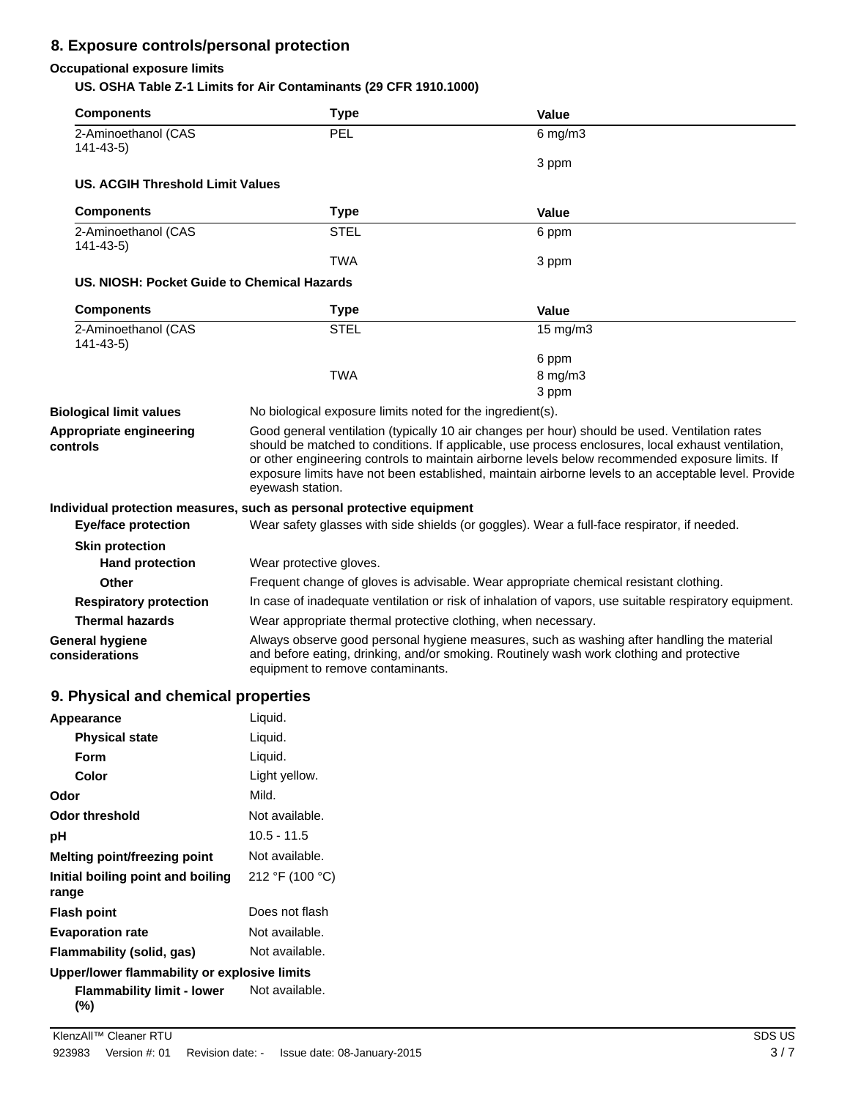### **8. Exposure controls/personal protection**

### **Occupational exposure limits**

**US. OSHA Table Z-1 Limits for Air Contaminants (29 CFR 1910.1000)**

| <b>Components</b>                           | <b>Type</b>                                                                                                                                                                                                                                                                                                                                                                                                                        | Value                                                                                                  |
|---------------------------------------------|------------------------------------------------------------------------------------------------------------------------------------------------------------------------------------------------------------------------------------------------------------------------------------------------------------------------------------------------------------------------------------------------------------------------------------|--------------------------------------------------------------------------------------------------------|
| 2-Aminoethanol (CAS<br>$141 - 43 - 5$       | PEL                                                                                                                                                                                                                                                                                                                                                                                                                                | $6$ mg/m $3$                                                                                           |
|                                             |                                                                                                                                                                                                                                                                                                                                                                                                                                    | 3 ppm                                                                                                  |
| US. ACGIH Threshold Limit Values            |                                                                                                                                                                                                                                                                                                                                                                                                                                    |                                                                                                        |
| <b>Components</b>                           | <b>Type</b>                                                                                                                                                                                                                                                                                                                                                                                                                        | Value                                                                                                  |
| 2-Aminoethanol (CAS<br>$141 - 43 - 5$       | <b>STEL</b>                                                                                                                                                                                                                                                                                                                                                                                                                        | 6 ppm                                                                                                  |
|                                             | <b>TWA</b>                                                                                                                                                                                                                                                                                                                                                                                                                         | 3 ppm                                                                                                  |
| US. NIOSH: Pocket Guide to Chemical Hazards |                                                                                                                                                                                                                                                                                                                                                                                                                                    |                                                                                                        |
| <b>Components</b>                           | <b>Type</b>                                                                                                                                                                                                                                                                                                                                                                                                                        | Value                                                                                                  |
| 2-Aminoethanol (CAS<br>$141 - 43 - 5$       | <b>STEL</b>                                                                                                                                                                                                                                                                                                                                                                                                                        | 15 mg/m3                                                                                               |
|                                             |                                                                                                                                                                                                                                                                                                                                                                                                                                    | 6 ppm                                                                                                  |
|                                             | <b>TWA</b>                                                                                                                                                                                                                                                                                                                                                                                                                         | 8 mg/m3                                                                                                |
|                                             |                                                                                                                                                                                                                                                                                                                                                                                                                                    | 3 ppm                                                                                                  |
| <b>Biological limit values</b>              | No biological exposure limits noted for the ingredient(s).                                                                                                                                                                                                                                                                                                                                                                         |                                                                                                        |
| Appropriate engineering<br>controls         | Good general ventilation (typically 10 air changes per hour) should be used. Ventilation rates<br>should be matched to conditions. If applicable, use process enclosures, local exhaust ventilation,<br>or other engineering controls to maintain airborne levels below recommended exposure limits. If<br>exposure limits have not been established, maintain airborne levels to an acceptable level. Provide<br>eyewash station. |                                                                                                        |
|                                             | Individual protection measures, such as personal protective equipment                                                                                                                                                                                                                                                                                                                                                              |                                                                                                        |
| <b>Eye/face protection</b>                  | Wear safety glasses with side shields (or goggles). Wear a full-face respirator, if needed.                                                                                                                                                                                                                                                                                                                                        |                                                                                                        |
| <b>Skin protection</b>                      |                                                                                                                                                                                                                                                                                                                                                                                                                                    |                                                                                                        |
| <b>Hand protection</b>                      | Wear protective gloves.                                                                                                                                                                                                                                                                                                                                                                                                            |                                                                                                        |
| Other                                       |                                                                                                                                                                                                                                                                                                                                                                                                                                    | Frequent change of gloves is advisable. Wear appropriate chemical resistant clothing.                  |
| <b>Respiratory protection</b>               |                                                                                                                                                                                                                                                                                                                                                                                                                                    | In case of inadequate ventilation or risk of inhalation of vapors, use suitable respiratory equipment. |
| <b>Thermal hazards</b>                      | Wear appropriate thermal protective clothing, when necessary.                                                                                                                                                                                                                                                                                                                                                                      |                                                                                                        |
| <b>General hygiene</b><br>considerations    | Always observe good personal hygiene measures, such as washing after handling the material<br>and before eating, drinking, and/or smoking. Routinely wash work clothing and protective<br>equipment to remove contaminants.                                                                                                                                                                                                        |                                                                                                        |

### **9. Physical and chemical properties**

| Appearance                                   | Liquid.         |
|----------------------------------------------|-----------------|
| <b>Physical state</b>                        | Liquid.         |
| Form                                         | Liquid.         |
| Color                                        | Light yellow.   |
| Odor                                         | Mild.           |
| Odor threshold                               | Not available.  |
| рH                                           | $10.5 - 11.5$   |
| Melting point/freezing point                 | Not available.  |
| Initial boiling point and boiling<br>range   | 212 °F (100 °C) |
| <b>Flash point</b>                           | Does not flash  |
| <b>Evaporation rate</b>                      | Not available.  |
| Flammability (solid, gas)                    | Not available.  |
| Upper/lower flammability or explosive limits |                 |
| Flammability limit - lower<br>(%)            | Not available.  |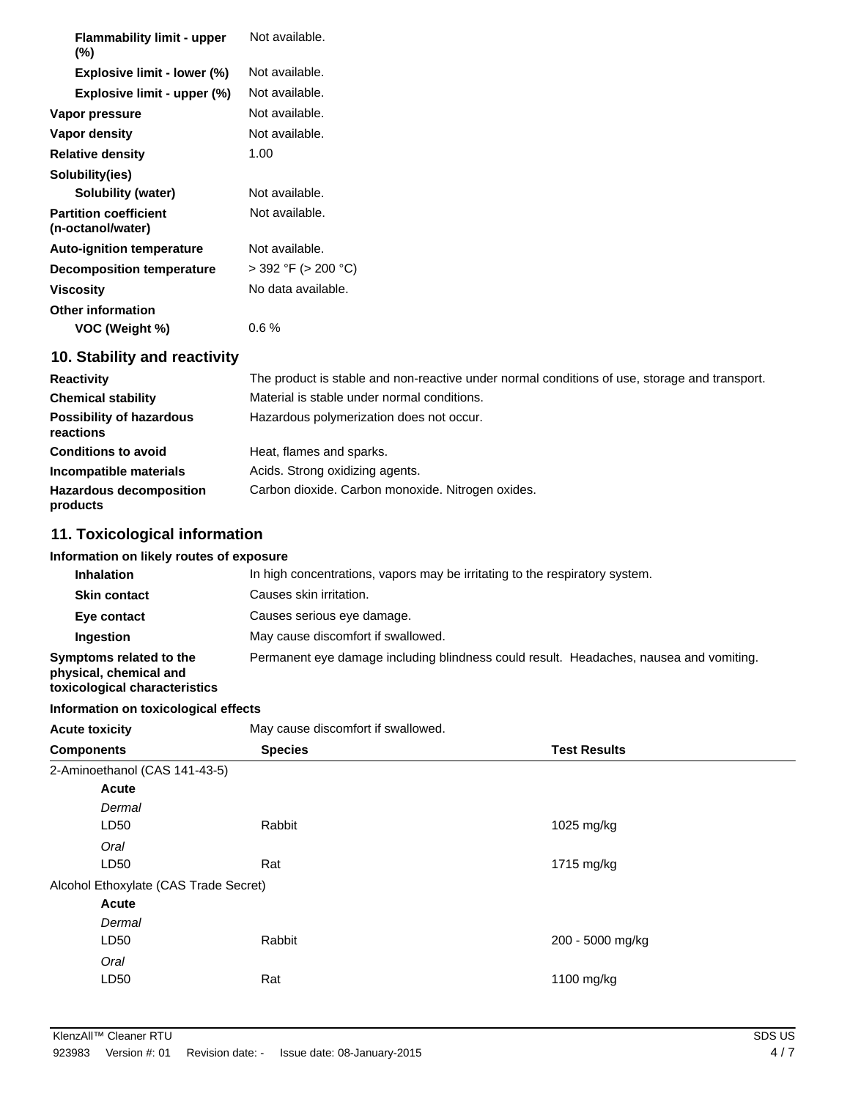| <b>Flammability limit - upper</b><br>$(\%)$       | Not available.           |
|---------------------------------------------------|--------------------------|
| Explosive limit - lower (%)                       | Not available.           |
| Explosive limit - upper (%)                       | Not available.           |
| Vapor pressure                                    | Not available.           |
| Vapor density                                     | Not available.           |
| <b>Relative density</b>                           | 1.00                     |
| Solubility(ies)                                   |                          |
| Solubility (water)                                | Not available.           |
| <b>Partition coefficient</b><br>(n-octanol/water) | Not available.           |
| <b>Auto-ignition temperature</b>                  | Not available.           |
| Decomposition temperature                         | $>$ 392 °F ( $>$ 200 °C) |
| <b>Viscosity</b>                                  | No data available.       |
| Other information                                 |                          |
| VOC (Weight %)                                    | 0.6%                     |
|                                                   |                          |

### **10. Stability and reactivity**

| <b>Reactivity</b>                            | The product is stable and non-reactive under normal conditions of use, storage and transport. |
|----------------------------------------------|-----------------------------------------------------------------------------------------------|
| <b>Chemical stability</b>                    | Material is stable under normal conditions.                                                   |
| <b>Possibility of hazardous</b><br>reactions | Hazardous polymerization does not occur.                                                      |
| <b>Conditions to avoid</b>                   | Heat, flames and sparks.                                                                      |
| Incompatible materials                       | Acids. Strong oxidizing agents.                                                               |
| <b>Hazardous decomposition</b><br>products   | Carbon dioxide. Carbon monoxide. Nitrogen oxides.                                             |

### **11. Toxicological information**

| Information on likely routes of exposure                                           |                                                                              |  |
|------------------------------------------------------------------------------------|------------------------------------------------------------------------------|--|
| <b>Inhalation</b>                                                                  | In high concentrations, vapors may be irritating to the respiratory system.  |  |
| <b>Skin contact</b>                                                                | Causes skin irritation.                                                      |  |
| Eye contact                                                                        | Causes serious eye damage.                                                   |  |
| Ingestion                                                                          | May cause discomfort if swallowed.                                           |  |
| Symptoms related to the<br>physical, chemical and<br>toxicological characteristics | Permanent eye damage including blindness could result. Headaches, nausea and |  |

### **Information on toxicological effects**

| May cause discomfort if swallowed.<br><b>Acute toxicity</b> |                |                     |  |
|-------------------------------------------------------------|----------------|---------------------|--|
| <b>Components</b>                                           | <b>Species</b> | <b>Test Results</b> |  |
| 2-Aminoethanol (CAS 141-43-5)                               |                |                     |  |
| Acute                                                       |                |                     |  |
| Dermal                                                      |                |                     |  |
| LD50                                                        | Rabbit         | 1025 mg/kg          |  |
| Oral                                                        |                |                     |  |
| LD50                                                        | Rat            | 1715 mg/kg          |  |
| Alcohol Ethoxylate (CAS Trade Secret)                       |                |                     |  |
| Acute                                                       |                |                     |  |
| Dermal                                                      |                |                     |  |
| LD50                                                        | Rabbit         | 200 - 5000 mg/kg    |  |
| Oral                                                        |                |                     |  |
| LD50                                                        | Rat            | 1100 mg/kg          |  |
|                                                             |                |                     |  |

vomiting.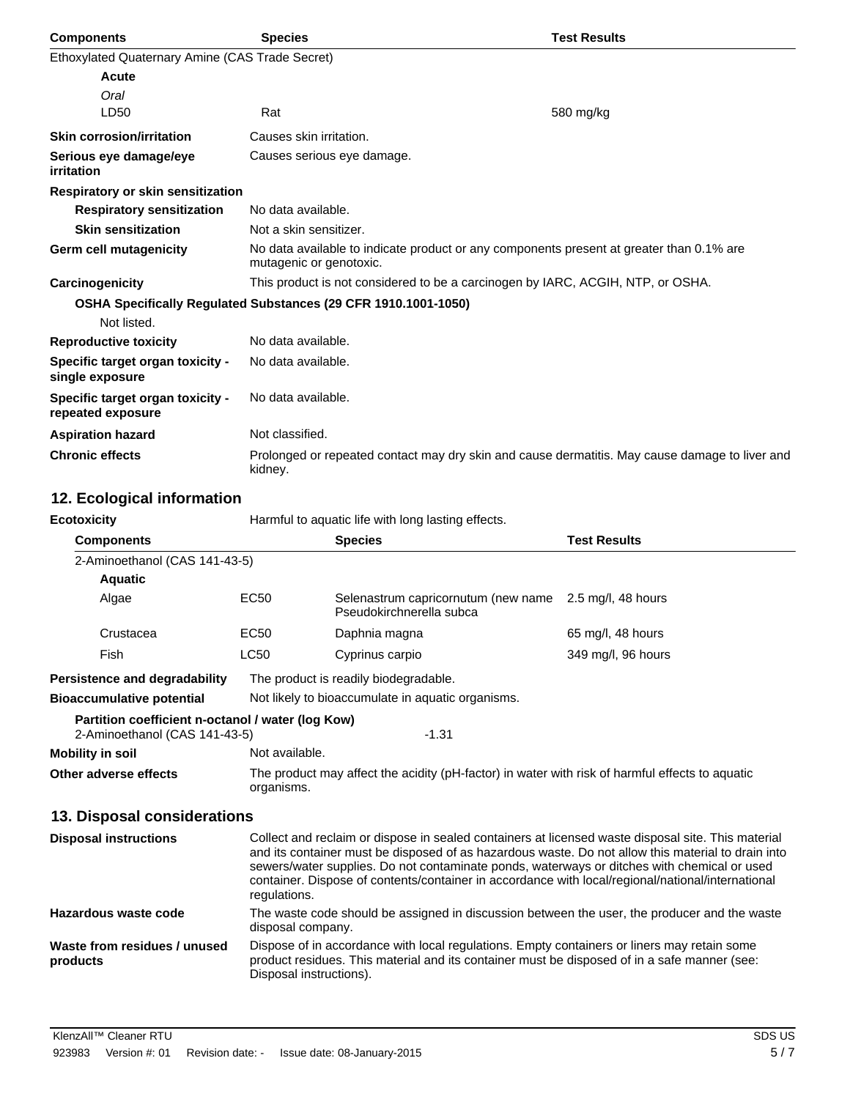| <b>Components</b>                                     | <b>Species</b>                                                 | <b>Test Results</b>                                                                            |
|-------------------------------------------------------|----------------------------------------------------------------|------------------------------------------------------------------------------------------------|
| Ethoxylated Quaternary Amine (CAS Trade Secret)       |                                                                |                                                                                                |
| Acute                                                 |                                                                |                                                                                                |
| Oral                                                  |                                                                |                                                                                                |
| LD50                                                  | Rat                                                            | 580 mg/kg                                                                                      |
| <b>Skin corrosion/irritation</b>                      | Causes skin irritation.                                        |                                                                                                |
| Serious eye damage/eye<br><i>irritation</i>           | Causes serious eye damage.                                     |                                                                                                |
| Respiratory or skin sensitization                     |                                                                |                                                                                                |
| <b>Respiratory sensitization</b>                      | No data available.                                             |                                                                                                |
| <b>Skin sensitization</b>                             | Not a skin sensitizer.                                         |                                                                                                |
| Germ cell mutagenicity                                | mutagenic or genotoxic.                                        | No data available to indicate product or any components present at greater than 0.1% are       |
| Carcinogenicity                                       |                                                                | This product is not considered to be a carcinogen by IARC, ACGIH, NTP, or OSHA.                |
|                                                       | OSHA Specifically Regulated Substances (29 CFR 1910.1001-1050) |                                                                                                |
| Not listed.                                           |                                                                |                                                                                                |
| <b>Reproductive toxicity</b>                          | No data available.                                             |                                                                                                |
| Specific target organ toxicity -<br>single exposure   | No data available.                                             |                                                                                                |
| Specific target organ toxicity -<br>repeated exposure | No data available.                                             |                                                                                                |
| <b>Aspiration hazard</b>                              | Not classified.                                                |                                                                                                |
| <b>Chronic effects</b>                                | kidney.                                                        | Prolonged or repeated contact may dry skin and cause dermatitis. May cause damage to liver and |

## **12. Ecological information**

| <b>Ecotoxicity</b>                                                                            | Harmful to aquatic life with long lasting effects.                                                                                                                                                                                                                                                                                                                                                                           |                                                                                                                                                                                             |                     |  |
|-----------------------------------------------------------------------------------------------|------------------------------------------------------------------------------------------------------------------------------------------------------------------------------------------------------------------------------------------------------------------------------------------------------------------------------------------------------------------------------------------------------------------------------|---------------------------------------------------------------------------------------------------------------------------------------------------------------------------------------------|---------------------|--|
| <b>Components</b>                                                                             |                                                                                                                                                                                                                                                                                                                                                                                                                              | <b>Species</b>                                                                                                                                                                              | <b>Test Results</b> |  |
| 2-Aminoethanol (CAS 141-43-5)                                                                 |                                                                                                                                                                                                                                                                                                                                                                                                                              |                                                                                                                                                                                             |                     |  |
| <b>Aquatic</b>                                                                                |                                                                                                                                                                                                                                                                                                                                                                                                                              |                                                                                                                                                                                             |                     |  |
| Algae                                                                                         | <b>EC50</b>                                                                                                                                                                                                                                                                                                                                                                                                                  | Selenastrum capricornutum (new name<br>Pseudokirchnerella subca                                                                                                                             | 2.5 mg/l, 48 hours  |  |
| Crustacea                                                                                     | EC50                                                                                                                                                                                                                                                                                                                                                                                                                         | Daphnia magna                                                                                                                                                                               | 65 mg/l, 48 hours   |  |
| Fish                                                                                          | <b>LC50</b>                                                                                                                                                                                                                                                                                                                                                                                                                  | Cyprinus carpio                                                                                                                                                                             | 349 mg/l, 96 hours  |  |
| Persistence and degradability                                                                 | The product is readily biodegradable.                                                                                                                                                                                                                                                                                                                                                                                        |                                                                                                                                                                                             |                     |  |
| <b>Bioaccumulative potential</b>                                                              |                                                                                                                                                                                                                                                                                                                                                                                                                              | Not likely to bioaccumulate in aquatic organisms.                                                                                                                                           |                     |  |
| Partition coefficient n-octanol / water (log Kow)<br>2-Aminoethanol (CAS 141-43-5)<br>$-1.31$ |                                                                                                                                                                                                                                                                                                                                                                                                                              |                                                                                                                                                                                             |                     |  |
| <b>Mobility in soil</b>                                                                       | Not available.                                                                                                                                                                                                                                                                                                                                                                                                               |                                                                                                                                                                                             |                     |  |
| Other adverse effects                                                                         | The product may affect the acidity (pH-factor) in water with risk of harmful effects to aquatic<br>organisms.                                                                                                                                                                                                                                                                                                                |                                                                                                                                                                                             |                     |  |
| 13. Disposal considerations                                                                   |                                                                                                                                                                                                                                                                                                                                                                                                                              |                                                                                                                                                                                             |                     |  |
| <b>Disposal instructions</b>                                                                  | Collect and reclaim or dispose in sealed containers at licensed waste disposal site. This material<br>and its container must be disposed of as hazardous waste. Do not allow this material to drain into<br>sewers/water supplies. Do not contaminate ponds, waterways or ditches with chemical or used<br>container. Dispose of contents/container in accordance with local/regional/national/international<br>regulations. |                                                                                                                                                                                             |                     |  |
| Hazardous waste code                                                                          | The waste code should be assigned in discussion between the user, the producer and the waste<br>disposal company.                                                                                                                                                                                                                                                                                                            |                                                                                                                                                                                             |                     |  |
| Waste from residues / unused<br>products                                                      | Disposal instructions).                                                                                                                                                                                                                                                                                                                                                                                                      | Dispose of in accordance with local regulations. Empty containers or liners may retain some<br>product residues. This material and its container must be disposed of in a safe manner (see: |                     |  |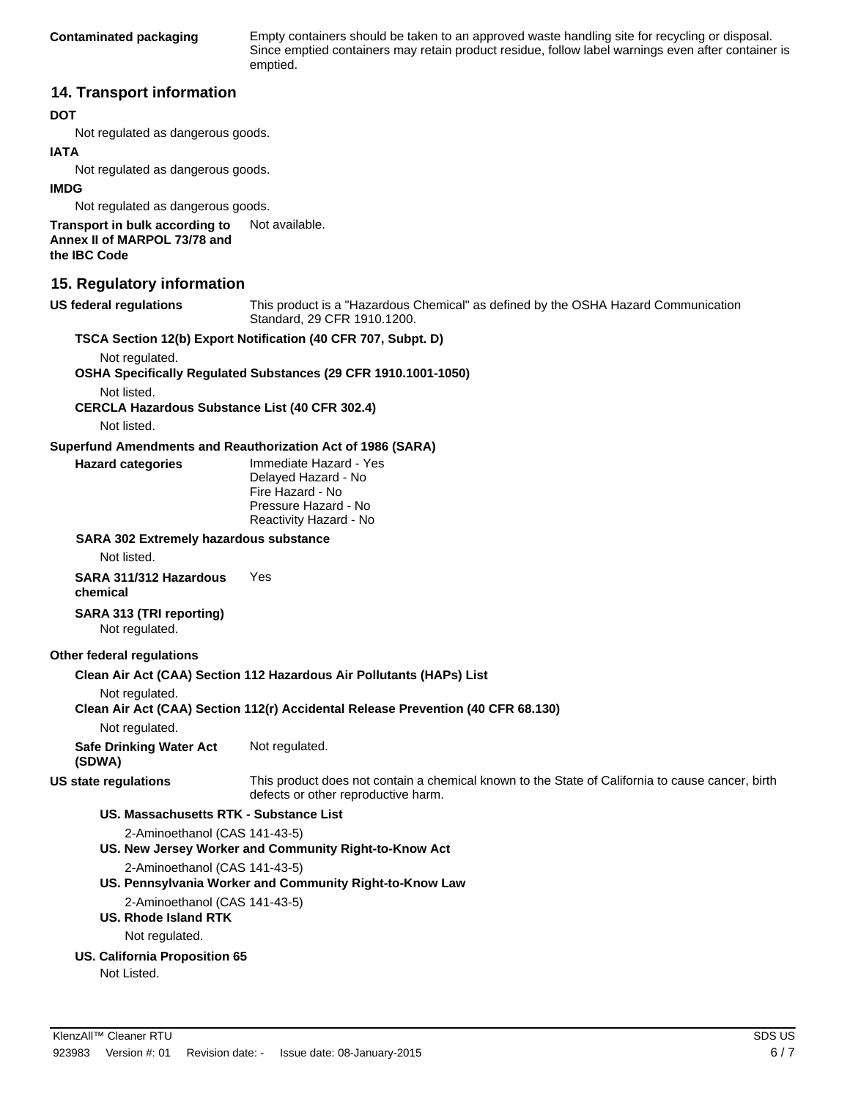**Contaminated packaging** Empty containers should be taken to an approved waste handling site for recycling or disposal. Since emptied containers may retain product residue, follow label warnings even after container is emptied.

#### **14. Transport information**

#### **DOT**

Not regulated as dangerous goods.

#### **IATA**

Not regulated as dangerous goods.

#### **IMDG**

Not regulated as dangerous goods.

**Transport in bulk according to** Not available. **Annex II of MARPOL 73/78 and the IBC Code**

#### **15. Regulatory information**

**US federal regulations** This product is a "Hazardous Chemical" as defined by the OSHA Hazard Communication Standard, 29 CFR 1910.1200.

#### **TSCA Section 12(b) Export Notification (40 CFR 707, Subpt. D)**

Not regulated.

**OSHA Specifically Regulated Substances (29 CFR 1910.1001-1050)**

Not listed.

**CERCLA Hazardous Substance List (40 CFR 302.4)**

Not listed.

#### **Superfund Amendments and Reauthorization Act of 1986 (SARA)**

**Hazard categories** Immediate Hazard - Yes Delayed Hazard - No Fire Hazard - No Pressure Hazard - No Reactivity Hazard - No

#### **SARA 302 Extremely hazardous substance**

Not listed.

#### **SARA 311/312 Hazardous chemical** Yes

**SARA 313 (TRI reporting)**

Not regulated.

#### **Other federal regulations**

#### **Clean Air Act (CAA) Section 112 Hazardous Air Pollutants (HAPs) List**

Not regulated.

#### **Clean Air Act (CAA) Section 112(r) Accidental Release Prevention (40 CFR 68.130)**

Not regulated.

**Safe Drinking Water Act** Not regulated.

**(SDWA)**

**US state regulations** This product does not contain a chemical known to the State of California to cause cancer, birth defects or other reproductive harm.

#### **US. Massachusetts RTK - Substance List**

2-Aminoethanol (CAS 141-43-5)

#### **US. New Jersey Worker and Community Right-to-Know Act**

2-Aminoethanol (CAS 141-43-5)

**US. Pennsylvania Worker and Community Right-to-Know Law**

2-Aminoethanol (CAS 141-43-5)

**US. Rhode Island RTK**

Not regulated.

#### **US. California Proposition 65**

Not Listed.